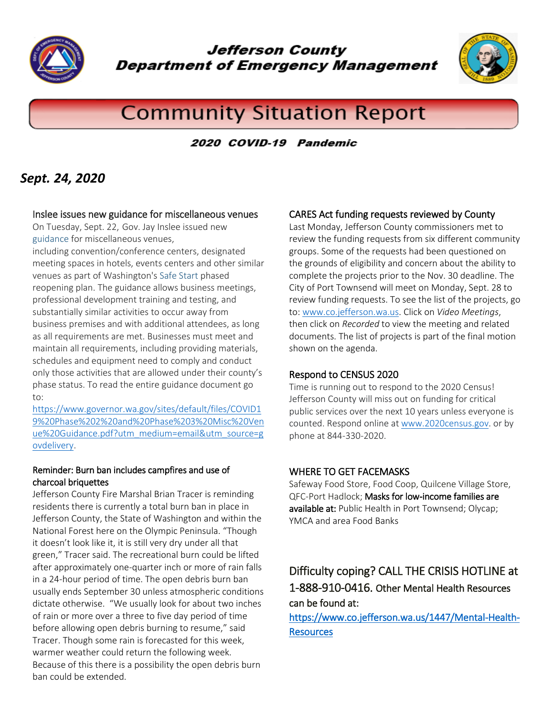

**Jefferson County Department of Emergency Management** 



# **Community Situation Report**

2020 COVID-19 Pandemic

# *Sept. 24, 2020*

#### Inslee issues new guidance for miscellaneous venues

On Tuesday, Sept. 22, Gov. Jay Inslee issued new [guidance](https://lnks.gd/l/eyJhbGciOiJIUzI1NiJ9.eyJidWxsZXRpbl9saW5rX2lkIjoxMDksInVyaSI6ImJwMjpjbGljayIsImJ1bGxldGluX2lkIjoiMjAyMDA5MjMuMjc1NzAzMTEiLCJ1cmwiOiJodHRwczovL2xua3MuZ2QvbC9leUpoYkdjaU9pSklVekkxTmlKOS5leUppZFd4c1pYUnBibDlzYVc1clgybGtJam94TURBc0luVnlhU0k2SW1Kd01qcGpiR2xqYXlJc0ltSjFiR3hsZEdsdVgybGtJam9pTWpBeU1EQTVNakl1TWpjMU5qYzBOREVpTENKMWNtd2lPaUpvZEhSd2N6b3ZMM2QzZHk1bmIzWmxjbTV2Y2k1M1lTNW5iM1l2YzJsMFpYTXZaR1ZtWVhWc2RDOW1hV3hsY3k5RFQxWkpSREU1SlRJd1VHaGhjMlVsTWpBeUpUSXdZVzVrSlRJd1VHaGhjMlVsTWpBekpUSXdUV2x6WXlVeU1GWmxiblZsSlRJd1IzVnBaR0Z1WTJVdWNHUm1QM1YwYlY5dFpXUnBkVzA5WlcxaGFXd21kWFJ0WDNOdmRYSmpaVDFuYjNaa1pXeHBkbVZ5ZVNKOS5WZl9jMWdSZ2lma0JrcmM0NDBDbEptdzI1aUhGVTVESFBVckx2MnplZHNvL3MvOTQ5NjgxMDQxL2JyLzg1Nzk2NjQ2NTA2LWwifQ.RK-uU-pQ_m7PsxxYRiW7OeAR45DLffpMhrbfEZU41lo/s/1255302266/br/85799396275-l) for miscellaneous venues,

including convention/conference centers, designated meeting spaces in hotels, events centers and other similar venues as part of Washington's [Safe Start](https://lnks.gd/l/eyJhbGciOiJIUzI1NiJ9.eyJidWxsZXRpbl9saW5rX2lkIjoxMTAsInVyaSI6ImJwMjpjbGljayIsImJ1bGxldGluX2lkIjoiMjAyMDA5MjMuMjc1NzAzMTEiLCJ1cmwiOiJodHRwczovL2xua3MuZ2QvbC9leUpoYkdjaU9pSklVekkxTmlKOS5leUppZFd4c1pYUnBibDlzYVc1clgybGtJam94TURFc0luVnlhU0k2SW1Kd01qcGpiR2xqYXlJc0ltSjFiR3hsZEdsdVgybGtJam9pTWpBeU1EQTVNakl1TWpjMU5qYzBOREVpTENKMWNtd2lPaUpvZEhSd2N6b3ZMM2QzZHk1bmIzWmxjbTV2Y2k1M1lTNW5iM1l2YzJsMFpYTXZaR1ZtWVhWc2RDOW1hV3hsY3k5VFlXWmxVM1JoY25SUWFHRnpaV1JTWlc5d1pXNXBibWN1Y0dSbVAzVjBiVjl0WldScGRXMDlaVzFoYVd3bWRYUnRYM052ZFhKalpUMW5iM1prWld4cGRtVnllU0o5LnEtTUprTFcyQ2NNMHUyY1V5TVlEaW9iekVKNEVXajJrNDB4ZEtVWmk2ZE0vcy85NDk2ODEwNDEvYnIvODU3OTY2NDY1MDYtbCJ9.QFtzG-9Os-8VVVwiw7kAHfVdi7P7-NSFdLCDwBHB-Ng/s/1255302266/br/85799396275-l) phased reopening plan. The guidance allows business meetings, professional development training and testing, and substantially similar activities to occur away from business premises and with additional attendees, as long as all requirements are met. Businesses must meet and maintain all requirements, including providing materials, schedules and equipment need to comply and conduct only those activities that are allowed under their county's phase status. To read the entire guidance document go to:

[https://www.governor.wa.gov/sites/default/files/COVID1](https://www.governor.wa.gov/sites/default/files/COVID19%20Phase%202%20and%20Phase%203%20Misc%20Venue%20Guidance.pdf?utm_medium=email&utm_source=govdelivery) [9%20Phase%202%20and%20Phase%203%20Misc%20Ven](https://www.governor.wa.gov/sites/default/files/COVID19%20Phase%202%20and%20Phase%203%20Misc%20Venue%20Guidance.pdf?utm_medium=email&utm_source=govdelivery) [ue%20Guidance.pdf?utm\\_medium=email&utm\\_source=g](https://www.governor.wa.gov/sites/default/files/COVID19%20Phase%202%20and%20Phase%203%20Misc%20Venue%20Guidance.pdf?utm_medium=email&utm_source=govdelivery) [ovdelivery.](https://www.governor.wa.gov/sites/default/files/COVID19%20Phase%202%20and%20Phase%203%20Misc%20Venue%20Guidance.pdf?utm_medium=email&utm_source=govdelivery)

#### Reminder: Burn ban includes campfires and use of charcoal briquettes

Jefferson County Fire Marshal Brian Tracer is reminding residents there is currently a total burn ban in place in Jefferson County, the State of Washington and within the National Forest here on the Olympic Peninsula. "Though it doesn't look like it, it is still very dry under all that green," Tracer said. The recreational burn could be lifted after approximately one-quarter inch or more of rain falls in a 24-hour period of time. The open debris burn ban usually ends September 30 unless atmospheric conditions dictate otherwise. "We usually look for about two inches of rain or more over a three to five day period of time before allowing open debris burning to resume," said Tracer. Though some rain is forecasted for this week, warmer weather could return the following week. Because of this there is a possibility the open debris burn ban could be extended.

### CARES Act funding requests reviewed by County

Last Monday, Jefferson County commissioners met to review the funding requests from six different community groups. Some of the requests had been questioned on the grounds of eligibility and concern about the ability to complete the projects prior to the Nov. 30 deadline. The City of Port Townsend will meet on Monday, Sept. 28 to review funding requests. To see the list of the projects, go to: [www.co.jefferson.wa.us.](http://www.co.jefferson.wa.us/) Click on *Video Meetings*, then click on *Recorded* to view the meeting and related documents. The list of projects is part of the final motion shown on the agenda.

#### Respond to CENSUS 2020

Time is running out to respond to the 2020 Census! Jefferson County will miss out on funding for critical public services over the next 10 years unless everyone is counted. Respond online a[t www.2020census.gov.](http://www.2020census.gov/) or by phone at 844-330-2020.

#### WHERE TO GET FACEMASKS

Safeway Food Store, Food Coop, Quilcene Village Store, QFC-Port Hadlock; Masks for low-income families are available at: Public Health in Port Townsend; Olycap; YMCA and area Food Banks

## Difficulty coping? CALL THE CRISIS HOTLINE at 1-888-910-0416. Other Mental Health Resources can be found at:

[https://www.co.jefferson.wa.us/1447/Mental-Health-](https://www.co.jefferson.wa.us/1447/Mental-Health-Resources)**[Resources](https://www.co.jefferson.wa.us/1447/Mental-Health-Resources)**